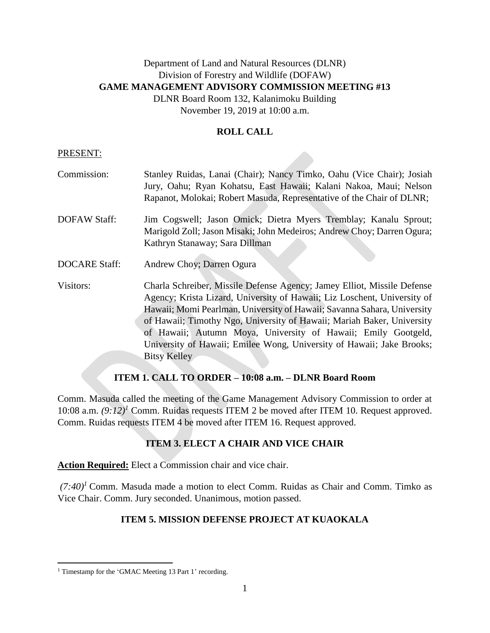# Department of Land and Natural Resources (DLNR) Division of Forestry and Wildlife (DOFAW) **GAME MANAGEMENT ADVISORY COMMISSION MEETING #13** DLNR Board Room 132, Kalanimoku Building

November 19, 2019 at 10:00 a.m.

### **ROLL CALL**

#### PRESENT:

| Commission:          | Stanley Ruidas, Lanai (Chair); Nancy Timko, Oahu (Vice Chair); Josiah<br>Jury, Oahu; Ryan Kohatsu, East Hawaii; Kalani Nakoa, Maui; Nelson                                                                                                                                                                                                                                                                                                                         |
|----------------------|--------------------------------------------------------------------------------------------------------------------------------------------------------------------------------------------------------------------------------------------------------------------------------------------------------------------------------------------------------------------------------------------------------------------------------------------------------------------|
|                      | Rapanot, Molokai; Robert Masuda, Representative of the Chair of DLNR;                                                                                                                                                                                                                                                                                                                                                                                              |
| <b>DOFAW Staff:</b>  | Jim Cogswell; Jason Omick; Dietra Myers Tremblay; Kanalu Sprout;<br>Marigold Zoll; Jason Misaki; John Medeiros; Andrew Choy; Darren Ogura;<br>Kathryn Stanaway; Sara Dillman                                                                                                                                                                                                                                                                                       |
| <b>DOCARE Staff:</b> | Andrew Choy; Darren Ogura                                                                                                                                                                                                                                                                                                                                                                                                                                          |
| Visitors:            | Charla Schreiber, Missile Defense Agency; Jamey Elliot, Missile Defense<br>Agency; Krista Lizard, University of Hawaii; Liz Loschent, University of<br>Hawaii; Momi Pearlman, University of Hawaii; Savanna Sahara, University<br>of Hawaii; Timothy Ngo, University of Hawaii; Mariah Baker, University<br>of Hawaii; Autumn Moya, University of Hawaii; Emily Gootgeld,<br>University of Hawaii; Emilee Wong, University of Hawaii; Jake Brooks;<br>Bitsy Kelley |

# <span id="page-0-0"></span>**ITEM 1. CALL TO ORDER – 10:08 a.m. – DLNR Board Room**

Comm. Masuda called the meeting of the Game Management Advisory Commission to order at 10:08 a.m. *(9:12)<sup>1</sup>* Comm. Ruidas requests ITEM 2 be moved after ITEM 10. Request approved. Comm. Ruidas requests ITEM 4 be moved after ITEM 16. Request approved.

# **ITEM 3. ELECT A CHAIR AND VICE CHAIR**

**Action Required:** Elect a Commission chair and vice chair.

*(7:40)[1](#page-0-0)* Comm. Masuda made a motion to elect Comm. Ruidas as Chair and Comm. Timko as Vice Chair. Comm. Jury seconded. Unanimous, motion passed.

# **ITEM 5. MISSION DEFENSE PROJECT AT KUAOKALA**

 $\overline{a}$ 

<sup>&</sup>lt;sup>1</sup> Timestamp for the 'GMAC Meeting 13 Part 1' recording.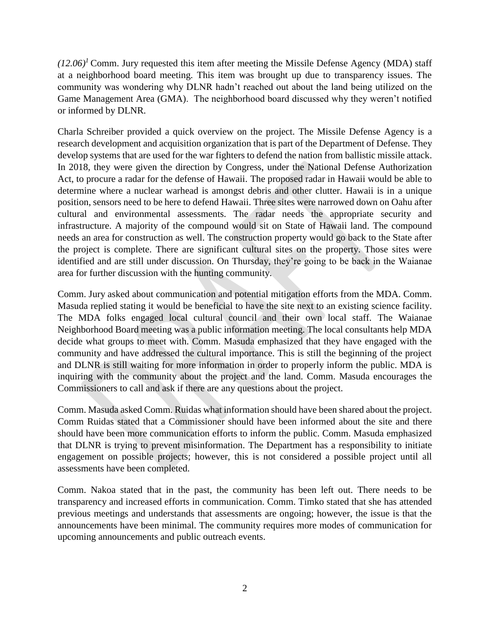$(12.06)^{1}$  $(12.06)^{1}$  $(12.06)^{1}$  Comm. Jury requested this item after meeting the Missile Defense Agency (MDA) staff at a neighborhood board meeting. This item was brought up due to transparency issues. The community was wondering why DLNR hadn't reached out about the land being utilized on the Game Management Area (GMA). The neighborhood board discussed why they weren't notified or informed by DLNR.

Charla Schreiber provided a quick overview on the project. The Missile Defense Agency is a research development and acquisition organization that is part of the Department of Defense. They develop systems that are used for the war fighters to defend the nation from ballistic missile attack. In 2018, they were given the direction by Congress, under the National Defense Authorization Act, to procure a radar for the defense of Hawaii. The proposed radar in Hawaii would be able to determine where a nuclear warhead is amongst debris and other clutter. Hawaii is in a unique position, sensors need to be here to defend Hawaii. Three sites were narrowed down on Oahu after cultural and environmental assessments. The radar needs the appropriate security and infrastructure. A majority of the compound would sit on State of Hawaii land. The compound needs an area for construction as well. The construction property would go back to the State after the project is complete. There are significant cultural sites on the property. Those sites were identified and are still under discussion. On Thursday, they're going to be back in the Waianae area for further discussion with the hunting community.

Comm. Jury asked about communication and potential mitigation efforts from the MDA. Comm. Masuda replied stating it would be beneficial to have the site next to an existing science facility. The MDA folks engaged local cultural council and their own local staff. The Waianae Neighborhood Board meeting was a public information meeting. The local consultants help MDA decide what groups to meet with. Comm. Masuda emphasized that they have engaged with the community and have addressed the cultural importance. This is still the beginning of the project and DLNR is still waiting for more information in order to properly inform the public. MDA is inquiring with the community about the project and the land. Comm. Masuda encourages the Commissioners to call and ask if there are any questions about the project.

Comm. Masuda asked Comm. Ruidas what information should have been shared about the project. Comm Ruidas stated that a Commissioner should have been informed about the site and there should have been more communication efforts to inform the public. Comm. Masuda emphasized that DLNR is trying to prevent misinformation. The Department has a responsibility to initiate engagement on possible projects; however, this is not considered a possible project until all assessments have been completed.

Comm. Nakoa stated that in the past, the community has been left out. There needs to be transparency and increased efforts in communication. Comm. Timko stated that she has attended previous meetings and understands that assessments are ongoing; however, the issue is that the announcements have been minimal. The community requires more modes of communication for upcoming announcements and public outreach events.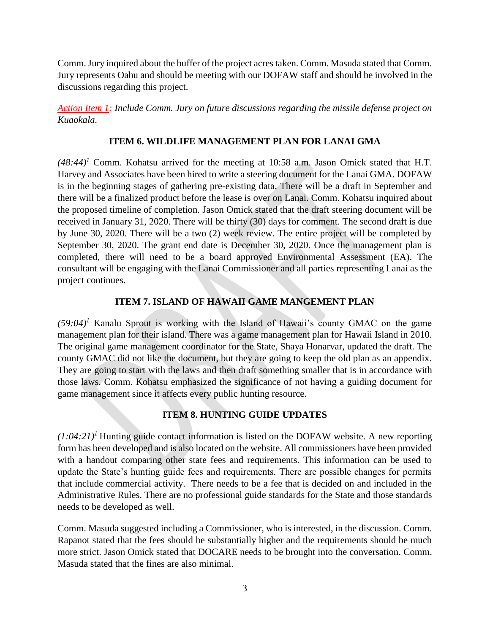Comm. Jury inquired about the buffer of the project acres taken. Comm. Masuda stated that Comm. Jury represents Oahu and should be meeting with our DOFAW staff and should be involved in the discussions regarding this project.

*Action Item 1: Include Comm. Jury on future discussions regarding the missile defense project on Kuaokala.* 

### **ITEM 6. WILDLIFE MANAGEMENT PLAN FOR LANAI GMA**

 $(48:44)^{1}$  $(48:44)^{1}$  $(48:44)^{1}$  Comm. Kohatsu arrived for the meeting at 10:58 a.m. Jason Omick stated that H.T. Harvey and Associates have been hired to write a steering document for the Lanai GMA. DOFAW is in the beginning stages of gathering pre-existing data. There will be a draft in September and there will be a finalized product before the lease is over on Lanai. Comm. Kohatsu inquired about the proposed timeline of completion. Jason Omick stated that the draft steering document will be received in January 31, 2020. There will be thirty (30) days for comment. The second draft is due by June 30, 2020. There will be a two (2) week review. The entire project will be completed by September 30, 2020. The grant end date is December 30, 2020. Once the management plan is completed, there will need to be a board approved Environmental Assessment (EA). The consultant will be engaging with the Lanai Commissioner and all parties representing Lanai as the project continues.

# **ITEM 7. ISLAND OF HAWAII GAME MANGEMENT PLAN**

 $(59:04)^1$  $(59:04)^1$  Kanalu Sprout is working with the Island of Hawaii's county GMAC on the game management plan for their island. There was a game management plan for Hawaii Island in 2010. The original game management coordinator for the State, Shaya Honarvar, updated the draft. The county GMAC did not like the document, but they are going to keep the old plan as an appendix. They are going to start with the laws and then draft something smaller that is in accordance with those laws. Comm. Kohatsu emphasized the significance of not having a guiding document for game management since it affects every public hunting resource.

# **ITEM 8. HUNTING GUIDE UPDATES**

 $(1:04:21)^{1}$  $(1:04:21)^{1}$  $(1:04:21)^{1}$  Hunting guide contact information is listed on the DOFAW website. A new reporting form has been developed and is also located on the website. All commissioners have been provided with a handout comparing other state fees and requirements. This information can be used to update the State's hunting guide fees and requirements. There are possible changes for permits that include commercial activity. There needs to be a fee that is decided on and included in the Administrative Rules. There are no professional guide standards for the State and those standards needs to be developed as well.

Comm. Masuda suggested including a Commissioner, who is interested, in the discussion. Comm. Rapanot stated that the fees should be substantially higher and the requirements should be much more strict. Jason Omick stated that DOCARE needs to be brought into the conversation. Comm. Masuda stated that the fines are also minimal.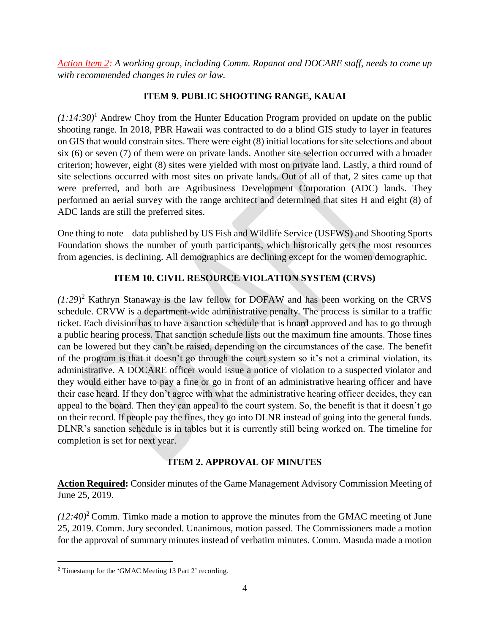*Action Item 2: A working group, including Comm. Rapanot and DOCARE staff, needs to come up with recommended changes in rules or law.* 

### **ITEM 9. PUBLIC SHOOTING RANGE, KAUAI**

 $(1:14:30)^1$  $(1:14:30)^1$  $(1:14:30)^1$  Andrew Choy from the Hunter Education Program provided on update on the public shooting range. In 2018, PBR Hawaii was contracted to do a blind GIS study to layer in features on GIS that would constrain sites. There were eight (8) initial locations for site selections and about six (6) or seven (7) of them were on private lands. Another site selection occurred with a broader criterion; however, eight (8) sites were yielded with most on private land. Lastly, a third round of site selections occurred with most sites on private lands. Out of all of that, 2 sites came up that were preferred, and both are Agribusiness Development Corporation (ADC) lands. They performed an aerial survey with the range architect and determined that sites H and eight (8) of ADC lands are still the preferred sites.

One thing to note – data published by US Fish and Wildlife Service (USFWS) and Shooting Sports Foundation shows the number of youth participants, which historically gets the most resources from agencies, is declining. All demographics are declining except for the women demographic.

# **ITEM 10. CIVIL RESOURCE VIOLATION SYSTEM (CRVS)**

<span id="page-3-0"></span>*(1:29*) <sup>2</sup> Kathryn Stanaway is the law fellow for DOFAW and has been working on the CRVS schedule. CRVW is a department-wide administrative penalty. The process is similar to a traffic ticket. Each division has to have a sanction schedule that is board approved and has to go through a public hearing process. That sanction schedule lists out the maximum fine amounts. Those fines can be lowered but they can't be raised, depending on the circumstances of the case. The benefit of the program is that it doesn't go through the court system so it's not a criminal violation, its administrative. A DOCARE officer would issue a notice of violation to a suspected violator and they would either have to pay a fine or go in front of an administrative hearing officer and have their case heard. If they don't agree with what the administrative hearing officer decides, they can appeal to the board. Then they can appeal to the court system. So, the benefit is that it doesn't go on their record. If people pay the fines, they go into DLNR instead of going into the general funds. DLNR's sanction schedule is in tables but it is currently still being worked on. The timeline for completion is set for next year.

# **ITEM 2. APPROVAL OF MINUTES**

**Action Required:** Consider minutes of the Game Management Advisory Commission Meeting of June 25, 2019.

 $(12:40)^2$  $(12:40)^2$  $(12:40)^2$  Comm. Timko made a motion to approve the minutes from the GMAC meeting of June 25, 2019. Comm. Jury seconded. Unanimous, motion passed. The Commissioners made a motion for the approval of summary minutes instead of verbatim minutes. Comm. Masuda made a motion

 $\overline{\phantom{a}}$ 

<sup>2</sup> Timestamp for the 'GMAC Meeting 13 Part 2' recording.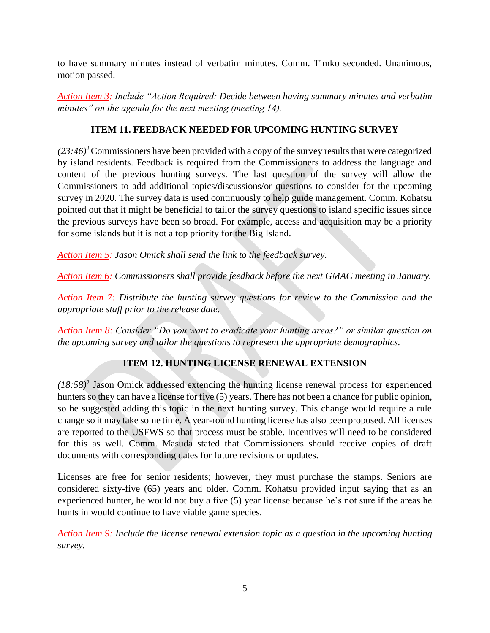to have summary minutes instead of verbatim minutes. Comm. Timko seconded. Unanimous, motion passed.

*Action Item 3: Include "Action Required: Decide between having summary minutes and verbatim minutes" on the agenda for the next meeting (meeting 14).* 

### **ITEM 11. FEEDBACK NEEDED FOR UPCOMING HUNTING SURVEY**

*(23:46)*[2](#page-3-0)Commissioners have been provided with a copy of the survey results that were categorized by island residents. Feedback is required from the Commissioners to address the language and content of the previous hunting surveys. The last question of the survey will allow the Commissioners to add additional topics/discussions/or questions to consider for the upcoming survey in 2020. The survey data is used continuously to help guide management. Comm. Kohatsu pointed out that it might be beneficial to tailor the survey questions to island specific issues since the previous surveys have been so broad. For example, access and acquisition may be a priority for some islands but it is not a top priority for the Big Island.

*Action Item 5: Jason Omick shall send the link to the feedback survey.* 

*Action Item 6: Commissioners shall provide feedback before the next GMAC meeting in January.* 

*Action Item 7: Distribute the hunting survey questions for review to the Commission and the appropriate staff prior to the release date.* 

*Action Item 8: Consider "Do you want to eradicate your hunting areas?" or similar question on the upcoming survey and tailor the questions to represent the appropriate demographics.* 

# **ITEM 12. HUNTING LICENSE RENEWAL EXTENSION**

*(18:58)* [2](#page-3-0) Jason Omick addressed extending the hunting license renewal process for experienced hunters so they can have a license for five (5) years. There has not been a chance for public opinion, so he suggested adding this topic in the next hunting survey. This change would require a rule change so it may take some time. A year-round hunting license has also been proposed. All licenses are reported to the USFWS so that process must be stable. Incentives will need to be considered for this as well. Comm. Masuda stated that Commissioners should receive copies of draft documents with corresponding dates for future revisions or updates.

Licenses are free for senior residents; however, they must purchase the stamps. Seniors are considered sixty-five (65) years and older. Comm. Kohatsu provided input saying that as an experienced hunter, he would not buy a five (5) year license because he's not sure if the areas he hunts in would continue to have viable game species.

*Action Item 9: Include the license renewal extension topic as a question in the upcoming hunting survey.*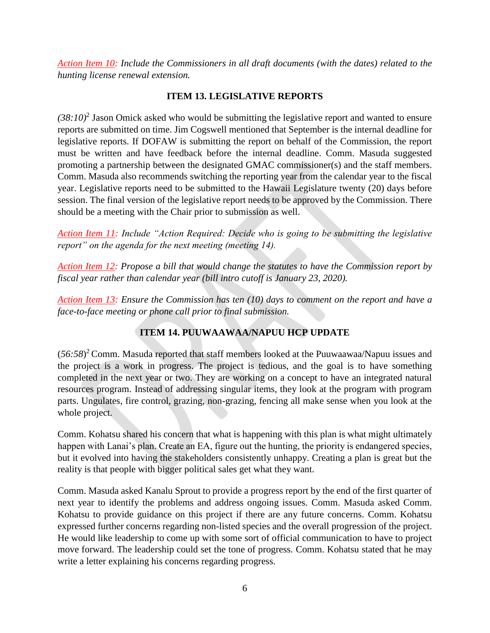*Action Item 10: Include the Commissioners in all draft documents (with the dates) related to the hunting license renewal extension.* 

# **ITEM 13. LEGISLATIVE REPORTS**

 $(38.10)^2$  $(38.10)^2$  Jason Omick asked who would be submitting the legislative report and wanted to ensure reports are submitted on time. Jim Cogswell mentioned that September is the internal deadline for legislative reports. If DOFAW is submitting the report on behalf of the Commission, the report must be written and have feedback before the internal deadline. Comm. Masuda suggested promoting a partnership between the designated GMAC commissioner(s) and the staff members. Comm. Masuda also recommends switching the reporting year from the calendar year to the fiscal year. Legislative reports need to be submitted to the Hawaii Legislature twenty (20) days before session. The final version of the legislative report needs to be approved by the Commission. There should be a meeting with the Chair prior to submission as well.

*Action Item 11: Include "Action Required: Decide who is going to be submitting the legislative report" on the agenda for the next meeting (meeting 14).* 

*Action Item 12: Propose a bill that would change the statutes to have the Commission report by fiscal year rather than calendar year (bill intro cutoff is January 23, 2020).*

*Action Item 13: Ensure the Commission has ten (10) days to comment on the report and have a face-to-face meeting or phone call prior to final submission.* 

# **ITEM 14. PUUWAAWAA/NAPUU HCP UPDATE**

(*56:58*) [2](#page-3-0) Comm. Masuda reported that staff members looked at the Puuwaawaa/Napuu issues and the project is a work in progress. The project is tedious, and the goal is to have something completed in the next year or two. They are working on a concept to have an integrated natural resources program. Instead of addressing singular items, they look at the program with program parts. Ungulates, fire control, grazing, non-grazing, fencing all make sense when you look at the whole project.

Comm. Kohatsu shared his concern that what is happening with this plan is what might ultimately happen with Lanai's plan. Create an EA, figure out the hunting, the priority is endangered species, but it evolved into having the stakeholders consistently unhappy. Creating a plan is great but the reality is that people with bigger political sales get what they want.

Comm. Masuda asked Kanalu Sprout to provide a progress report by the end of the first quarter of next year to identify the problems and address ongoing issues. Comm. Masuda asked Comm. Kohatsu to provide guidance on this project if there are any future concerns. Comm. Kohatsu expressed further concerns regarding non-listed species and the overall progression of the project. He would like leadership to come up with some sort of official communication to have to project move forward. The leadership could set the tone of progress. Comm. Kohatsu stated that he may write a letter explaining his concerns regarding progress.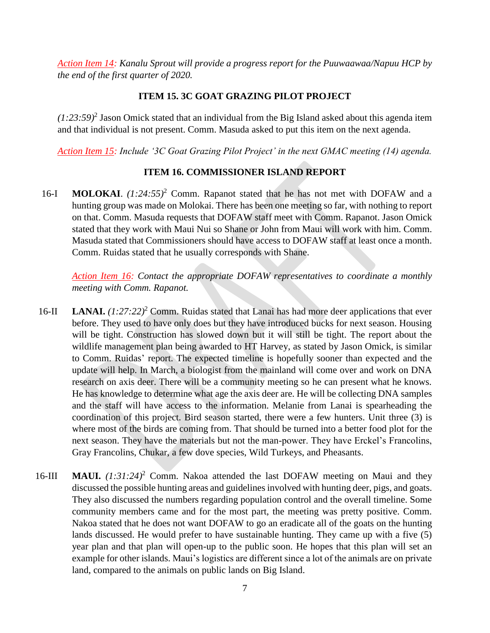*Action Item 14: Kanalu Sprout will provide a progress report for the Puuwaawaa/Napuu HCP by the end of the first quarter of 2020.* 

### **ITEM 15. 3C GOAT GRAZING PILOT PROJECT**

 $(1.23.59)^2$  $(1.23.59)^2$  $(1.23.59)^2$  Jason Omick stated that an individual from the Big Island asked about this agenda item and that individual is not present. Comm. Masuda asked to put this item on the next agenda.

*Action Item 15: Include '3C Goat Grazing Pilot Project' in the next GMAC meeting (14) agenda.*

### **ITEM 16. COMMISSIONER ISLAND REPORT**

16-I **MOLOKAI**. *(1:24:55[\)](#page-3-0)*<sup>2</sup> Comm. Rapanot stated that he has not met with DOFAW and a hunting group was made on Molokai. There has been one meeting so far, with nothing to report on that. Comm. Masuda requests that DOFAW staff meet with Comm. Rapanot. Jason Omick stated that they work with Maui Nui so Shane or John from Maui will work with him. Comm. Masuda stated that Commissioners should have access to DOFAW staff at least once a month. Comm. Ruidas stated that he usually corresponds with Shane.

*Action Item 16: Contact the appropriate DOFAW representatives to coordinate a monthly meeting with Comm. Rapanot.* 

- 16-II **LANAI.** *(1:27:22)*[2](#page-3-0) Comm. Ruidas stated that Lanai has had more deer applications that ever before. They used to have only does but they have introduced bucks for next season. Housing will be tight. Construction has slowed down but it will still be tight. The report about the wildlife management plan being awarded to HT Harvey, as stated by Jason Omick, is similar to Comm. Ruidas' report. The expected timeline is hopefully sooner than expected and the update will help. In March, a biologist from the mainland will come over and work on DNA research on axis deer. There will be a community meeting so he can present what he knows. He has knowledge to determine what age the axis deer are. He will be collecting DNA samples and the staff will have access to the information. Melanie from Lanai is spearheading the coordination of this project. Bird season started, there were a few hunters. Unit three (3) is where most of the birds are coming from. That should be turned into a better food plot for the next season. They have the materials but not the man-power. They have Erckel's Francolins, Gray Francolins, Chukar, a few dove species, Wild Turkeys, and Pheasants.
- 16-III **MAUI.**  $(1:31:24)^2$  $(1:31:24)^2$  $(1:31:24)^2$  Comm. Nakoa attended the last DOFAW meeting on Maui and they discussed the possible hunting areas and guidelines involved with hunting deer, pigs, and goats. They also discussed the numbers regarding population control and the overall timeline. Some community members came and for the most part, the meeting was pretty positive. Comm. Nakoa stated that he does not want DOFAW to go an eradicate all of the goats on the hunting lands discussed. He would prefer to have sustainable hunting. They came up with a five (5) year plan and that plan will open-up to the public soon. He hopes that this plan will set an example for other islands. Maui's logistics are different since a lot of the animals are on private land, compared to the animals on public lands on Big Island.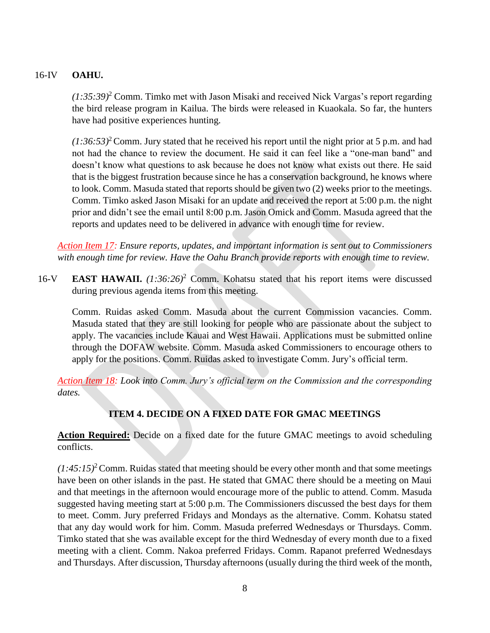### 16-IV **OAHU.**

*(1:35:39)*[2](#page-3-0) Comm. Timko met with Jason Misaki and received Nick Vargas's report regarding the bird release program in Kailua. The birds were released in Kuaokala. So far, the hunters have had positive experiences hunting.

 $(1:36:53)^2$  $(1:36:53)^2$  Comm. Jury stated that he received his report until the night prior at 5 p.m. and had not had the chance to review the document. He said it can feel like a "one-man band" and doesn't know what questions to ask because he does not know what exists out there. He said that is the biggest frustration because since he has a conservation background, he knows where to look. Comm. Masuda stated that reports should be given two (2) weeks prior to the meetings. Comm. Timko asked Jason Misaki for an update and received the report at 5:00 p.m. the night prior and didn't see the email until 8:00 p.m. Jason Omick and Comm. Masuda agreed that the reports and updates need to be delivered in advance with enough time for review.

*Action Item 17: Ensure reports, updates, and important information is sent out to Commissioners with enough time for review. Have the Oahu Branch provide reports with enough time to review.*

16-V **EAST HAWAII.** *(1:36:26)*[2](#page-3-0) Comm. Kohatsu stated that his report items were discussed during previous agenda items from this meeting.

Comm. Ruidas asked Comm. Masuda about the current Commission vacancies. Comm. Masuda stated that they are still looking for people who are passionate about the subject to apply. The vacancies include Kauai and West Hawaii. Applications must be submitted online through the DOFAW website. Comm. Masuda asked Commissioners to encourage others to apply for the positions. Comm. Ruidas asked to investigate Comm. Jury's official term.

*Action Item 18: Look into Comm. Jury's official term on the Commission and the corresponding dates.* 

# **ITEM 4. DECIDE ON A FIXED DATE FOR GMAC MEETINGS**

**Action Required:** Decide on a fixed date for the future GMAC meetings to avoid scheduling conflicts.

 $(1:45:15)^2$  $(1:45:15)^2$  Comm. Ruidas stated that meeting should be every other month and that some meetings have been on other islands in the past. He stated that GMAC there should be a meeting on Maui and that meetings in the afternoon would encourage more of the public to attend. Comm. Masuda suggested having meeting start at 5:00 p.m. The Commissioners discussed the best days for them to meet. Comm. Jury preferred Fridays and Mondays as the alternative. Comm. Kohatsu stated that any day would work for him. Comm. Masuda preferred Wednesdays or Thursdays. Comm. Timko stated that she was available except for the third Wednesday of every month due to a fixed meeting with a client. Comm. Nakoa preferred Fridays. Comm. Rapanot preferred Wednesdays and Thursdays. After discussion, Thursday afternoons (usually during the third week of the month,